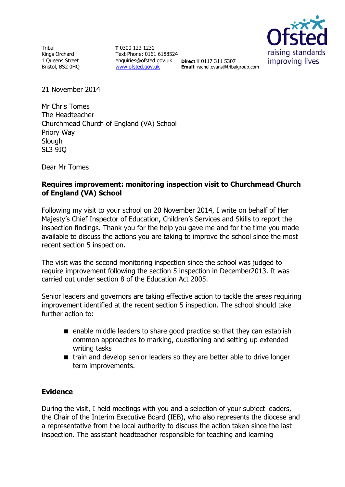**Tribal** Kings Orchard 1 Queens Street Bristol, BS2 0HQ

**T** 0300 123 1231 Text Phone: 0161 6188524 enquiries@ofsted.gov.uk **Direct T** 0117 311 5307 [www.ofsted.gov.uk](http://www.ofsted.gov.uk/)



**Email**: rachel.evans@tribalgroup.com

21 November 2014

Mr Chris Tomes The Headteacher Churchmead Church of England (VA) School Priory Way **Slough** SL3 9JQ

Dear Mr Tomes

## **Requires improvement: monitoring inspection visit to Churchmead Church of England (VA) School**

Following my visit to your school on 20 November 2014, I write on behalf of Her Majesty's Chief Inspector of Education, Children's Services and Skills to report the inspection findings. Thank you for the help you gave me and for the time you made available to discuss the actions you are taking to improve the school since the most recent section 5 inspection.

The visit was the second monitoring inspection since the school was judged to require improvement following the section 5 inspection in December2013. It was carried out under section 8 of the Education Act 2005.

Senior leaders and governors are taking effective action to tackle the areas requiring improvement identified at the recent section 5 inspection. The school should take further action to:

- enable middle leaders to share good practice so that they can establish common approaches to marking, questioning and setting up extended writing tasks
- train and develop senior leaders so they are better able to drive longer term improvements.

# **Evidence**

During the visit, I held meetings with you and a selection of your subject leaders, the Chair of the Interim Executive Board (IEB), who also represents the diocese and a representative from the local authority to discuss the action taken since the last inspection. The assistant headteacher responsible for teaching and learning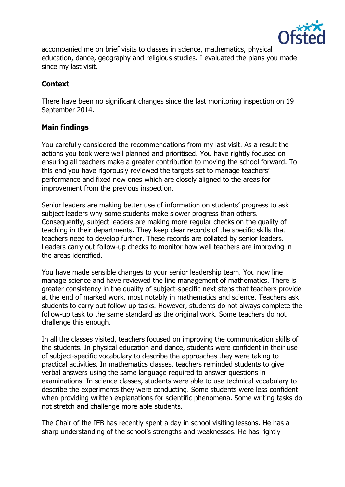

accompanied me on brief visits to classes in science, mathematics, physical education, dance, geography and religious studies. I evaluated the plans you made since my last visit.

## **Context**

There have been no significant changes since the last monitoring inspection on 19 September 2014.

## **Main findings**

You carefully considered the recommendations from my last visit. As a result the actions you took were well planned and prioritised. You have rightly focused on ensuring all teachers make a greater contribution to moving the school forward. To this end you have rigorously reviewed the targets set to manage teachers' performance and fixed new ones which are closely aligned to the areas for improvement from the previous inspection.

Senior leaders are making better use of information on students' progress to ask subject leaders why some students make slower progress than others. Consequently, subject leaders are making more regular checks on the quality of teaching in their departments. They keep clear records of the specific skills that teachers need to develop further. These records are collated by senior leaders. Leaders carry out follow-up checks to monitor how well teachers are improving in the areas identified.

You have made sensible changes to your senior leadership team. You now line manage science and have reviewed the line management of mathematics. There is greater consistency in the quality of subject-specific next steps that teachers provide at the end of marked work, most notably in mathematics and science. Teachers ask students to carry out follow-up tasks. However, students do not always complete the follow-up task to the same standard as the original work. Some teachers do not challenge this enough.

In all the classes visited, teachers focused on improving the communication skills of the students. In physical education and dance, students were confident in their use of subject-specific vocabulary to describe the approaches they were taking to practical activities. In mathematics classes, teachers reminded students to give verbal answers using the same language required to answer questions in examinations. In science classes, students were able to use technical vocabulary to describe the experiments they were conducting. Some students were less confident when providing written explanations for scientific phenomena. Some writing tasks do not stretch and challenge more able students.

The Chair of the IEB has recently spent a day in school visiting lessons. He has a sharp understanding of the school's strengths and weaknesses. He has rightly